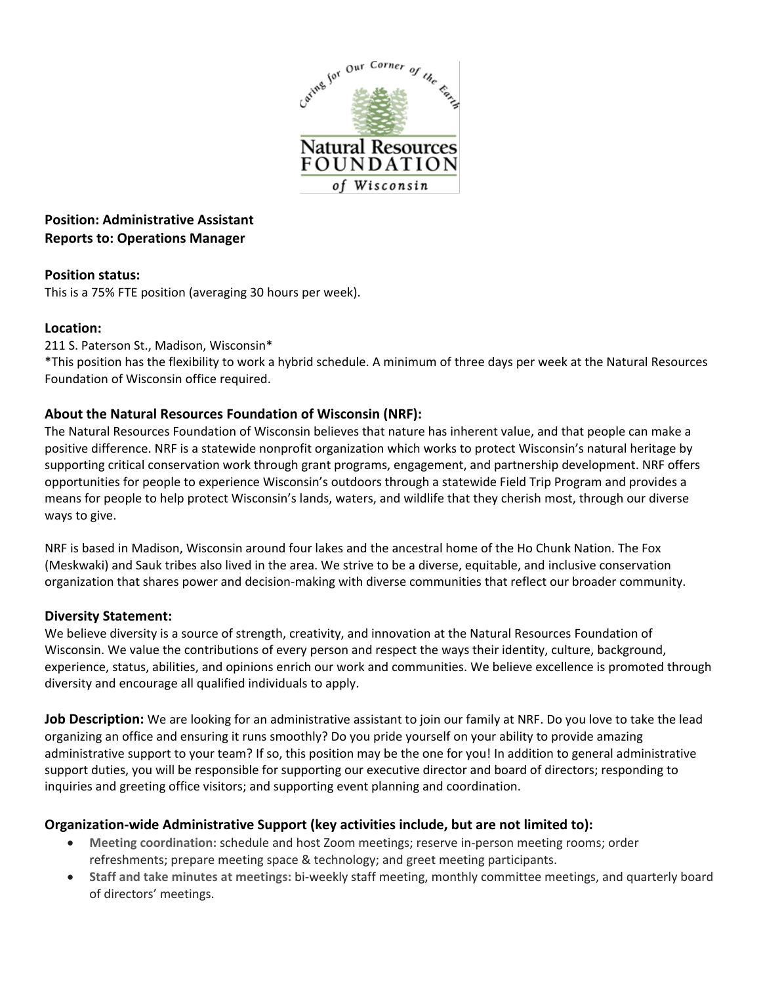

# **Position: Administrative Assistant Reports to: Operations Manager**

## **Position status:**

This is a 75% FTE position (averaging 30 hours per week).

## **Location:**

211 S. Paterson St., Madison, Wisconsin\*

\*This position has the flexibility to work a hybrid schedule. A minimum of three days per week at the Natural Resources Foundation of Wisconsin office required.

## **About the Natural Resources Foundation of Wisconsin (NRF):**

The Natural Resources Foundation of Wisconsin believes that nature has inherent value, and that people can make a positive difference. NRF is a statewide nonprofit organization which works to protect Wisconsin's natural heritage by supporting critical conservation work through grant programs, engagement, and partnership development. NRF offers opportunities for people to experience Wisconsin's outdoors through a statewide Field Trip Program and provides a means for people to help protect Wisconsin's lands, waters, and wildlife that they cherish most, through our diverse ways to give.

NRF is based in Madison, Wisconsin around four lakes and the ancestral home of the Ho Chunk Nation. The Fox (Meskwaki) and Sauk tribes also lived in the area. We strive to be a diverse, equitable, and inclusive conservation organization that shares power and decision-making with diverse communities that reflect our broader community.

## **Diversity Statement:**

We believe diversity is a source of strength, creativity, and innovation at the Natural Resources Foundation of Wisconsin. We value the contributions of every person and respect the ways their identity, culture, background, experience, status, abilities, and opinions enrich our work and communities. We believe excellence is promoted through diversity and encourage all qualified individuals to apply.

**Job Description:** We are looking for an administrative assistant to join our family at NRF. Do you love to take the lead organizing an office and ensuring it runs smoothly? Do you pride yourself on your ability to provide amazing administrative support to your team? If so, this position may be the one for you! In addition to general administrative support duties, you will be responsible for supporting our executive director and board of directors; responding to inquiries and greeting office visitors; and supporting event planning and coordination.

## **Organization-wide Administrative Support (key activities include, but are not limited to):**

- **Meeting coordination:** schedule and host Zoom meetings; reserve in-person meeting rooms; order refreshments; prepare meeting space & technology; and greet meeting participants.
- **Staff and take minutes at meetings:** bi-weekly staff meeting, monthly committee meetings, and quarterly board of directors' meetings.